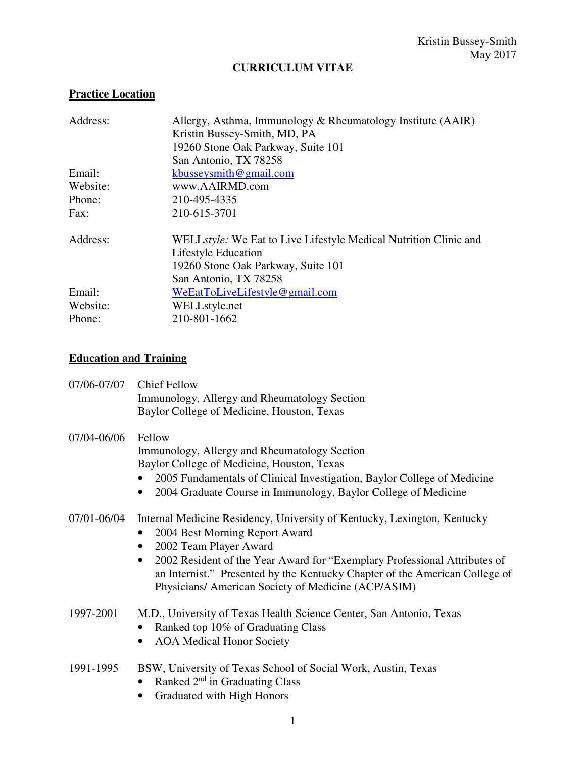# **CURRICULUM VITAE**

# **Practice Location**

| Address: | Allergy, Asthma, Immunology & Rheumatology Institute (AAIR)      |
|----------|------------------------------------------------------------------|
|          | Kristin Bussey-Smith, MD, PA                                     |
|          | 19260 Stone Oak Parkway, Suite 101                               |
|          | San Antonio, TX 78258                                            |
| Email:   | kbusseysmith@gmail.com                                           |
| Website: | www.AAIRMD.com                                                   |
| Phone:   | 210-495-4335                                                     |
| Fax:     | 210-615-3701                                                     |
| Address: | WELLstyle: We Eat to Live Lifestyle Medical Nutrition Clinic and |
|          | Lifestyle Education                                              |
|          | 19260 Stone Oak Parkway, Suite 101                               |
|          | San Antonio, TX 78258                                            |
| Email:   | WeEatToLiveLifestyle@gmail.com                                   |
| Website: | WELLstyle.net                                                    |
| Phone:   | 210-801-1662                                                     |

## **Education and Training**

| 07/06-07/07 | <b>Chief Fellow</b><br>Immunology, Allergy and Rheumatology Section<br>Baylor College of Medicine, Houston, Texas                                                                                                                                                                                                                                                                              |
|-------------|------------------------------------------------------------------------------------------------------------------------------------------------------------------------------------------------------------------------------------------------------------------------------------------------------------------------------------------------------------------------------------------------|
| 07/04-06/06 | Fellow<br>Immunology, Allergy and Rheumatology Section<br>Baylor College of Medicine, Houston, Texas<br>2005 Fundamentals of Clinical Investigation, Baylor College of Medicine<br>2004 Graduate Course in Immunology, Baylor College of Medicine<br>$\bullet$                                                                                                                                 |
| 07/01-06/04 | Internal Medicine Residency, University of Kentucky, Lexington, Kentucky<br>2004 Best Morning Report Award<br>$\bullet$<br>2002 Team Player Award<br>$\bullet$<br>2002 Resident of the Year Award for "Exemplary Professional Attributes of<br>$\bullet$<br>an Internist." Presented by the Kentucky Chapter of the American College of<br>Physicians/ American Society of Medicine (ACP/ASIM) |
| 1997-2001   | M.D., University of Texas Health Science Center, San Antonio, Texas<br>Ranked top 10% of Graduating Class<br>$\bullet$<br><b>AOA</b> Medical Honor Society<br>$\bullet$                                                                                                                                                                                                                        |
| 1991-1995   | BSW, University of Texas School of Social Work, Austin, Texas<br>Ranked 2 <sup>nd</sup> in Graduating Class<br>$\bullet$<br>Graduated with High Honors                                                                                                                                                                                                                                         |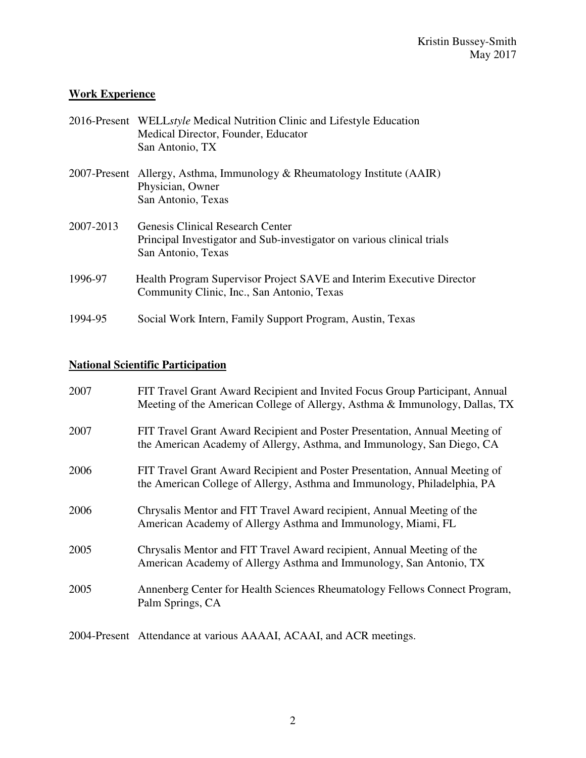# **Work Experience**

|           | 2016-Present WELLstyle Medical Nutrition Clinic and Lifestyle Education<br>Medical Director, Founder, Educator<br>San Antonio, TX       |
|-----------|-----------------------------------------------------------------------------------------------------------------------------------------|
|           | 2007-Present Allergy, Asthma, Immunology & Rheumatology Institute (AAIR)<br>Physician, Owner<br>San Antonio, Texas                      |
| 2007-2013 | <b>Genesis Clinical Research Center</b><br>Principal Investigator and Sub-investigator on various clinical trials<br>San Antonio, Texas |
| 1996-97   | Health Program Supervisor Project SAVE and Interim Executive Director<br>Community Clinic, Inc., San Antonio, Texas                     |
| 1994-95   | Social Work Intern, Family Support Program, Austin, Texas                                                                               |

# **National Scientific Participation**

| 2007              | FIT Travel Grant Award Recipient and Invited Focus Group Participant, Annual<br>Meeting of the American College of Allergy, Asthma & Immunology, Dallas, TX |
|-------------------|-------------------------------------------------------------------------------------------------------------------------------------------------------------|
| 2007              | FIT Travel Grant Award Recipient and Poster Presentation, Annual Meeting of<br>the American Academy of Allergy, Asthma, and Immunology, San Diego, CA       |
| 2006              | FIT Travel Grant Award Recipient and Poster Presentation, Annual Meeting of<br>the American College of Allergy, Asthma and Immunology, Philadelphia, PA     |
| 2006              | Chrysalis Mentor and FIT Travel Award recipient, Annual Meeting of the<br>American Academy of Allergy Asthma and Immunology, Miami, FL                      |
| 2005              | Chrysalis Mentor and FIT Travel Award recipient, Annual Meeting of the<br>American Academy of Allergy Asthma and Immunology, San Antonio, TX                |
| 2005              | Annenberg Center for Health Sciences Rheumatology Fellows Connect Program,<br>Palm Springs, CA                                                              |
| 2001 <sub>D</sub> |                                                                                                                                                             |

2004-Present Attendance at various AAAAI, ACAAI, and ACR meetings.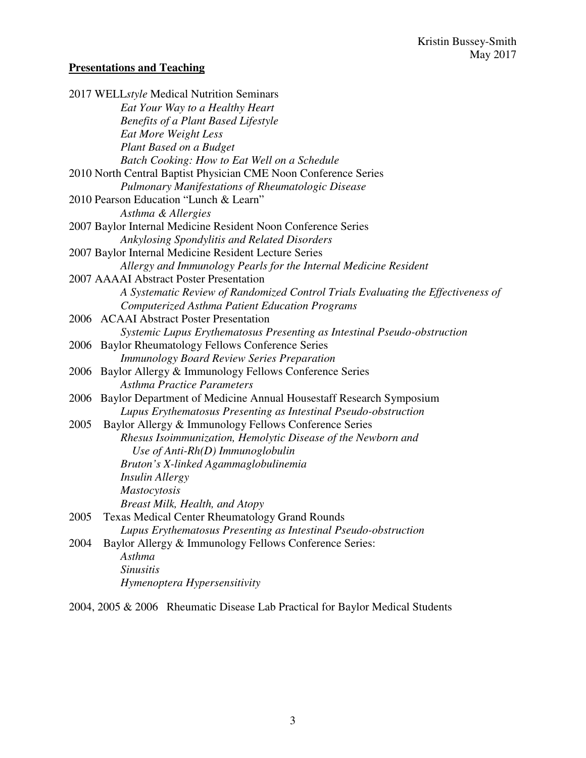# **Presentations and Teaching**

| Eat Your Way to a Healthy Heart<br><b>Benefits of a Plant Based Lifestyle</b><br>Eat More Weight Less<br>Plant Based on a Budget<br>Batch Cooking: How to Eat Well on a Schedule |  |
|----------------------------------------------------------------------------------------------------------------------------------------------------------------------------------|--|
|                                                                                                                                                                                  |  |
|                                                                                                                                                                                  |  |
|                                                                                                                                                                                  |  |
|                                                                                                                                                                                  |  |
|                                                                                                                                                                                  |  |
| 2010 North Central Baptist Physician CME Noon Conference Series                                                                                                                  |  |
| <b>Pulmonary Manifestations of Rheumatologic Disease</b>                                                                                                                         |  |
| 2010 Pearson Education "Lunch & Learn"                                                                                                                                           |  |
| Asthma & Allergies                                                                                                                                                               |  |
| 2007 Baylor Internal Medicine Resident Noon Conference Series                                                                                                                    |  |
| Ankylosing Spondylitis and Related Disorders                                                                                                                                     |  |
| 2007 Baylor Internal Medicine Resident Lecture Series                                                                                                                            |  |
| Allergy and Immunology Pearls for the Internal Medicine Resident                                                                                                                 |  |
| 2007 AAAAI Abstract Poster Presentation                                                                                                                                          |  |
| A Systematic Review of Randomized Control Trials Evaluating the Effectiveness of                                                                                                 |  |
| Computerized Asthma Patient Education Programs                                                                                                                                   |  |
| 2006 ACAAI Abstract Poster Presentation                                                                                                                                          |  |
| Systemic Lupus Erythematosus Presenting as Intestinal Pseudo-obstruction                                                                                                         |  |
| 2006 Baylor Rheumatology Fellows Conference Series                                                                                                                               |  |
| <b>Immunology Board Review Series Preparation</b>                                                                                                                                |  |
| Baylor Allergy & Immunology Fellows Conference Series<br>2006                                                                                                                    |  |
| <b>Asthma Practice Parameters</b>                                                                                                                                                |  |
| 2006 Baylor Department of Medicine Annual Housestaff Research Symposium                                                                                                          |  |
| Lupus Erythematosus Presenting as Intestinal Pseudo-obstruction                                                                                                                  |  |
| 2005<br>Baylor Allergy & Immunology Fellows Conference Series                                                                                                                    |  |
| Rhesus Isoimmunization, Hemolytic Disease of the Newborn and                                                                                                                     |  |
| Use of Anti- $Rh(D)$ Immunoglobulin                                                                                                                                              |  |
| Bruton's X-linked Agammaglobulinemia                                                                                                                                             |  |
| Insulin Allergy                                                                                                                                                                  |  |
| <b>Mastocytosis</b>                                                                                                                                                              |  |
| <b>Breast Milk, Health, and Atopy</b>                                                                                                                                            |  |
| 2005<br><b>Texas Medical Center Rheumatology Grand Rounds</b>                                                                                                                    |  |
| Lupus Erythematosus Presenting as Intestinal Pseudo-obstruction                                                                                                                  |  |
| Baylor Allergy & Immunology Fellows Conference Series:<br>2004                                                                                                                   |  |
| Asthma                                                                                                                                                                           |  |
| <b>Sinusitis</b>                                                                                                                                                                 |  |
| Hymenoptera Hypersensitivity                                                                                                                                                     |  |

2004, 2005 & 2006 Rheumatic Disease Lab Practical for Baylor Medical Students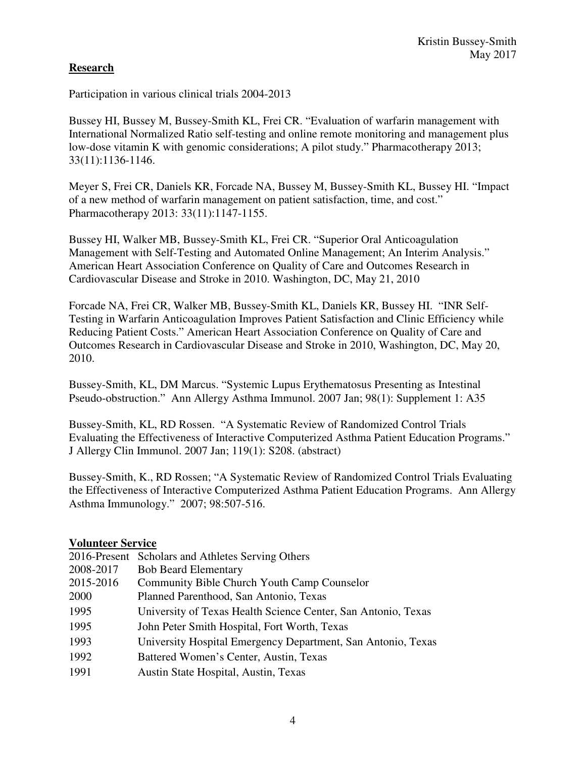## **Research**

Participation in various clinical trials 2004-2013

Bussey HI, Bussey M, Bussey-Smith KL, Frei CR. "Evaluation of warfarin management with International Normalized Ratio self-testing and online remote monitoring and management plus low-dose vitamin K with genomic considerations; A pilot study." Pharmacotherapy 2013; 33(11):1136-1146.

Meyer S, Frei CR, Daniels KR, Forcade NA, Bussey M, Bussey-Smith KL, Bussey HI. "Impact of a new method of warfarin management on patient satisfaction, time, and cost." Pharmacotherapy 2013: 33(11):1147-1155.

Bussey HI, Walker MB, Bussey-Smith KL, Frei CR. "Superior Oral Anticoagulation Management with Self-Testing and Automated Online Management; An Interim Analysis." American Heart Association Conference on Quality of Care and Outcomes Research in Cardiovascular Disease and Stroke in 2010. Washington, DC, May 21, 2010

Forcade NA, Frei CR, Walker MB, Bussey-Smith KL, Daniels KR, Bussey HI. "INR Self-Testing in Warfarin Anticoagulation Improves Patient Satisfaction and Clinic Efficiency while Reducing Patient Costs." American Heart Association Conference on Quality of Care and Outcomes Research in Cardiovascular Disease and Stroke in 2010, Washington, DC, May 20, 2010.

Bussey-Smith, KL, DM Marcus. "Systemic Lupus Erythematosus Presenting as Intestinal Pseudo-obstruction." Ann Allergy Asthma Immunol. 2007 Jan; 98(1): Supplement 1: A35

Bussey-Smith, KL, RD Rossen. "A Systematic Review of Randomized Control Trials Evaluating the Effectiveness of Interactive Computerized Asthma Patient Education Programs." J Allergy Clin Immunol. 2007 Jan; 119(1): S208. (abstract)

Bussey-Smith, K., RD Rossen; "A Systematic Review of Randomized Control Trials Evaluating the Effectiveness of Interactive Computerized Asthma Patient Education Programs. Ann Allergy Asthma Immunology." 2007; 98:507-516.

## **Volunteer Service**

|           | 2016-Present Scholars and Athletes Serving Others             |
|-----------|---------------------------------------------------------------|
| 2008-2017 | <b>Bob Beard Elementary</b>                                   |
| 2015-2016 | Community Bible Church Youth Camp Counselor                   |
| 2000      | Planned Parenthood, San Antonio, Texas                        |
| 1995      | University of Texas Health Science Center, San Antonio, Texas |
| 1995      | John Peter Smith Hospital, Fort Worth, Texas                  |
| 1993      | University Hospital Emergency Department, San Antonio, Texas  |
| 1992      | Battered Women's Center, Austin, Texas                        |
| 1991      | Austin State Hospital, Austin, Texas                          |